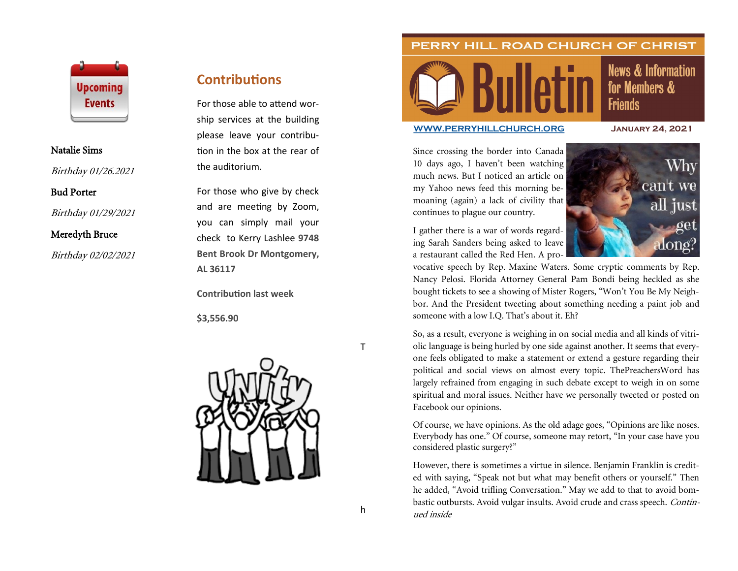

#### Natalie Sims

Birthday 01/26.2021

#### Bud Porter

Birthday 01/29/2021

### Meredyth Bruce

Birthday 02/02/2021

# **Contributions**

For those able to attend worship services at the building please leave your contribution in the box at the rear of the auditorium.

For those who give by check and are meeting by Zoom, you can simply mail your check to Kerry Lashlee **9748 Bent Brook Dr Montgomery, AL 36117**

**Contribution last week**

**\$3,556.90**



PERRY HILL ROAD CHURCH OF CHRIST

# **News & Information** for Members & **Friends**

#### **[WWW.PERRYHILLCHURCH.ORG](http://www.perryhillchurch.org) January 24, 2021**

Since crossing the border into Canada 10 days ago, I haven't been watching much news. But I noticed an article on my Yahoo news feed this morning bemoaning (again) a lack of civility that continues to plague our country.

I gather there is a war of words regarding Sarah Sanders being asked to leave a restaurant called the Red Hen. A pro-



vocative speech by Rep. Maxine Waters. Some cryptic comments by Rep. Nancy Pelosi. Florida Attorney General Pam Bondi being heckled as she bought tickets to see a showing of Mister Rogers, "Won't You Be My Neighbor. And the President tweeting about something needing a paint job and someone with a low I.Q. That's about it. Eh?

So, as a result, everyone is weighing in on social media and all kinds of vitriolic language is being hurled by one side against another. It seems that everyone feels obligated to make a statement or extend a gesture regarding their political and social views on almost every topic. ThePreachersWord has largely refrained from engaging in such debate except to weigh in on some spiritual and moral issues. Neither have we personally tweeted or posted on Facebook our opinions.

Of course, we have opinions. As the old adage goes, "Opinions are like noses. Everybody has one." Of course, someone may retort, "In your case have you considered plastic surgery?"

However, there is sometimes a virtue in silence. Benjamin Franklin is credited with saying, "Speak not but what may benefit others or yourself." Then he added, "Avoid trifling Conversation." May we add to that to avoid bombastic outbursts. Avoid vulgar insults. Avoid crude and crass speech. Continued inside